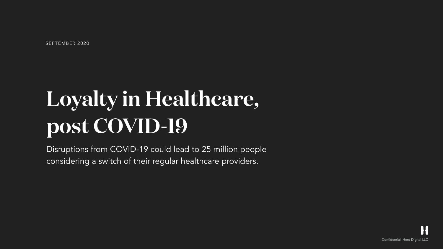

SEPTEMBER 2020

# **Loyalty in Healthcare, post COVID-19**

Disruptions from COVID-19 could lead to 25 million people considering a switch of their regular healthcare providers.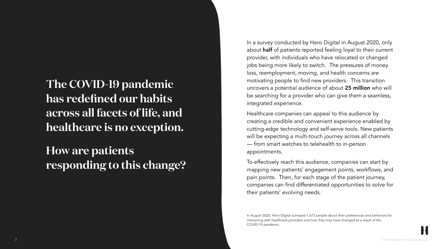

**The COVID-19 pandemic has redefined our habits across all facets of life, and healthcare is no exception.** 

**How are patients responding to this change?**  In a survey conducted by Hero Digital in August 2020, only about half of patients reported feeling loyal to their current provider, with individuals who have relocated or changed jobs being more likely to switch. The pressures of money loss, reemployment, moving, and health concerns are motivating people to find new providers. This transition uncovers a potential audience of about 25 million who will be searching for a provider who can give them a seamless, integrated experience.

Healthcare companies can appeal to this audience by creating a credible and convenient experience enabled by cutting-edge technology and self-serve tools. New patients will be expecting a multi-touch journey across all channels — from smart watches to telehealth to in-person appointments.

To effectively reach this audience, companies can start by mapping new patients' engagement points, workflows, and pain points. Then, for each stage of the patient journey, companies can find differentiated opportunities to solve for their patients' evolving needs.

In August 2020, Hero Digital surveyed 1,673 people about their preferences and behaviors for interacting with healthcare providers and how they may have changed as a result of the COVID-19 pandemic.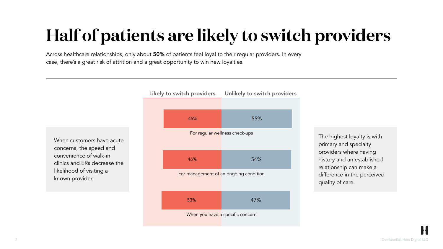

# **Half of patients are likely to switch providers**

Across healthcare relationships, only about 50% of patients feel loyal to their regular providers. In every case, there's a great risk of attrition and a great opportunity to win new loyalties.



The highest loyalty is with primary and specialty providers where having history and an established relationship can make a difference in the perceived quality of care.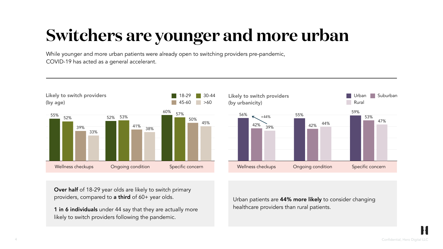### **Switchers are younger and more urban**

While younger and more urban patients were already open to switching providers pre-pandemic, COVID-19 has acted as a general accelerant.

Over half of 18-29 year olds are likely to switch primary providers, compared to a third of 60+ year olds.

Urban patients are 44% more likely to consider changing healthcare providers than rural patients.



1 in 6 individuals under 44 say that they are actually more likely to switch providers following the pandemic.

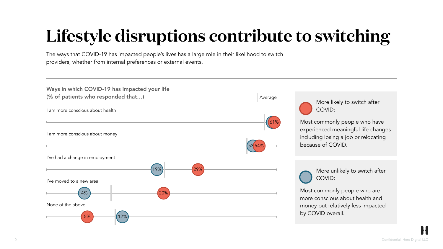

# **Lifestyle disruptions contribute to switching**

The ways that COVID-19 has impacted people's lives has a large role in their likelihood to switch providers, whether from internal preferences or external events.

|                          | 19% | 29% |
|--------------------------|-----|-----|
| I've moved to a new area |     |     |
| 4%                       | 20% |     |
| None of the above        |     |     |
| 2%<br>5%                 |     |     |

I am more conscious about health

I am more conscious about money

I've had a change in employment

Ways in which COVID-19 has impacted your life (% of patients who responded that…)

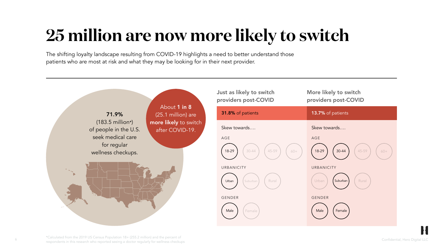# **25 million are now more likely to switch**

The shifting loyalty landscape resulting from COVID-19 highlights a need to better understand those patients who are most at risk and what they may be looking for in their next provider.

6 Confidential, Hero Digital LLC \*Calculated from the 2019 US Census Population 18+ (255.2 million) and the percent of respondents in this research who reported seeing a doctor regularly for wellness checkups

About 1 in 8 (25.1 million) are more likely to switch after COVID-19.

| Just as likely to switch<br>providers post-COVID | More likely to switch<br>providers post-COVID |  |
|--------------------------------------------------|-----------------------------------------------|--|
| 31.8% of patients                                | 13.7% of patients                             |  |
| Skew towards                                     | Skew towards                                  |  |
| AGE                                              | AGE                                           |  |
| 18-29<br>45-59<br>$30 - 44$<br>$60 +$            | 18-29<br>$30 - 44$<br>45-59<br>$60+$          |  |
| URBANICITY                                       | URBANICITY                                    |  |
| Rural<br>Urban<br>Suburban                       | Rural<br>Urban<br>Suburban                    |  |
| <b>GENDER</b>                                    | <b>GENDER</b>                                 |  |
| Male<br>Female                                   | Male<br>Female                                |  |



71.9% (183.5 million\*) of people in the U.S. seek medical care for regular wellness checkups.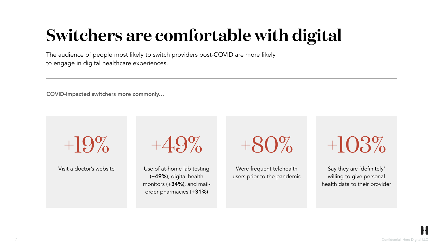

# **Switchers are comfortable with digital**

The audience of people most likely to switch providers post-COVID are more likely to engage in digital healthcare experiences.

Visit a doctor's website<br>
Use of at-home lab testing (+49%), digital health monitors (+34%), and mailorder pharmacies (+31%)

COVID-impacted switchers more commonly…



Were frequent telehealth users prior to the pandemic

Say they are 'definitely' willing to give personal health data to their provider

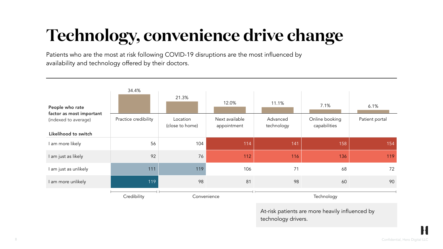

# **Technology, convenience drive change**

Patients who are the most at risk following COVID-19 disruptions are the most influenced by availability and technology offered by their doctors.

| People who rate<br>factor as most important<br>(indexed to average) | 34.4%                | 21.3%                       | 12.0%                         | 11.1%                                                                  | 7.1%                           | 6.1%           |
|---------------------------------------------------------------------|----------------------|-----------------------------|-------------------------------|------------------------------------------------------------------------|--------------------------------|----------------|
|                                                                     | Practice credibility | Location<br>(close to home) | Next available<br>appointment | Advanced<br>technology                                                 | Online booking<br>capabilities | Patient portal |
| Likelihood to switch                                                |                      |                             |                               |                                                                        |                                |                |
| I am more likely                                                    | 56                   | 104                         | 114                           | 141                                                                    | 158                            | 154            |
| I am just as likely                                                 | 92                   | 76                          | 112                           | 116                                                                    | 136                            | 119            |
| I am just as unlikely                                               | 111                  | 119                         | 106                           | 71                                                                     | 68                             | 72             |
| I am more unlikely                                                  | 119                  | 98                          | 81                            | 98                                                                     | 60                             | 90             |
|                                                                     | Credibility          | Convenience                 |                               | Technology                                                             |                                |                |
|                                                                     |                      |                             |                               | At-risk patients are more heavily influenced by<br>technology drivers. |                                |                |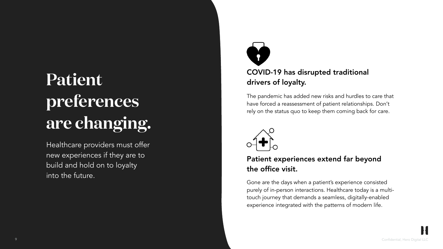

### **Patient preferences are changing.**

Healthcare providers must offer new experiences if they are to build and hold on to loyalty into the future.



### COVID-19 has disrupted traditional drivers of loyalty.

The pandemic has added new risks and hurdles to care that have forced a reassessment of patient relationships. Don't rely on the status quo to keep them coming back for care.



### Patient experiences extend far beyond the office visit.

Gone are the days when a patient's experience consisted purely of in-person interactions. Healthcare today is a multitouch journey that demands a seamless, digitally-enabled experience integrated with the patterns of modern life.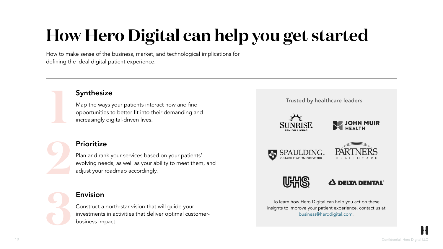

# **How Hero Digital can help you get started**

How to make sense of the business, market, and technological implications for defining the ideal digital patient experience.



### **Synthesize**

#### Envision

Construct a north-star vision that will guide your investments in activities that deliver optimal customerbusiness impact.

Plan and rank your services based on your patients' evolving needs, as well as your ability to meet them, and adjust your roadmap accordingly.



Map the ways your patients interact now and find opportunities to better fit into their demanding and increasingly digital-driven lives.



#### **Prioritize**